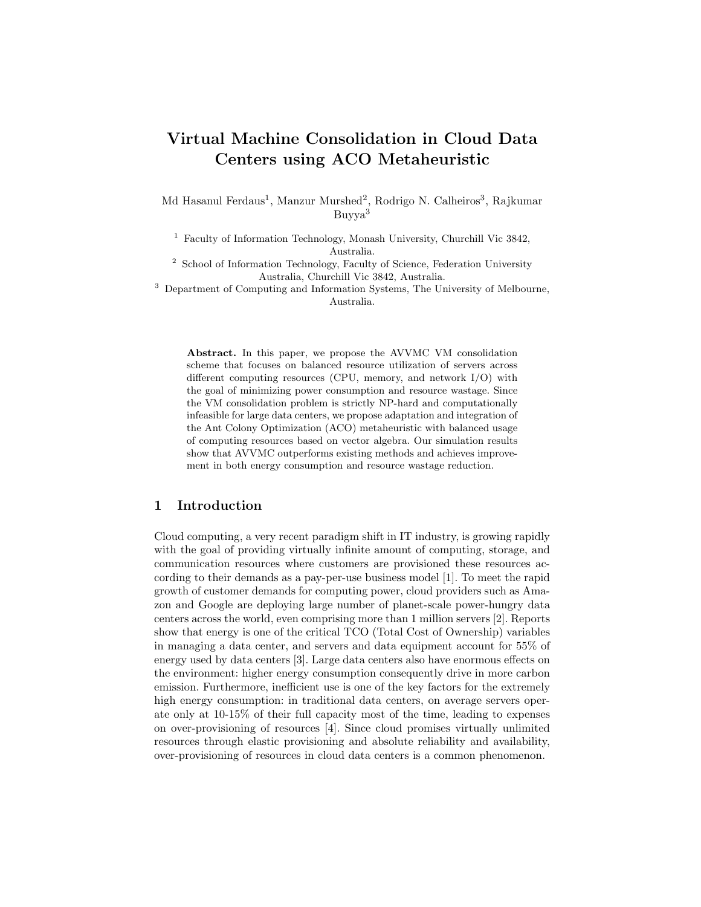# Virtual Machine Consolidation in Cloud Data Centers using ACO Metaheuristic

Md Hasanul Ferdaus<sup>1</sup>, Manzur Murshed<sup>2</sup>, Rodrigo N. Calheiros<sup>3</sup>, Rajkumar Buyya<sup>3</sup>

<sup>1</sup> Faculty of Information Technology, Monash University, Churchill Vic 3842, Australia.

<sup>2</sup> School of Information Technology, Faculty of Science, Federation University Australia, Churchill Vic 3842, Australia.

<sup>3</sup> Department of Computing and Information Systems, The University of Melbourne, Australia.

Abstract. In this paper, we propose the AVVMC VM consolidation scheme that focuses on balanced resource utilization of servers across different computing resources (CPU, memory, and network I/O) with the goal of minimizing power consumption and resource wastage. Since the VM consolidation problem is strictly NP-hard and computationally infeasible for large data centers, we propose adaptation and integration of the Ant Colony Optimization (ACO) metaheuristic with balanced usage of computing resources based on vector algebra. Our simulation results show that AVVMC outperforms existing methods and achieves improvement in both energy consumption and resource wastage reduction.

### 1 Introduction

Cloud computing, a very recent paradigm shift in IT industry, is growing rapidly with the goal of providing virtually infinite amount of computing, storage, and communication resources where customers are provisioned these resources according to their demands as a pay-per-use business model [1]. To meet the rapid growth of customer demands for computing power, cloud providers such as Amazon and Google are deploying large number of planet-scale power-hungry data centers across the world, even comprising more than 1 million servers [2]. Reports show that energy is one of the critical TCO (Total Cost of Ownership) variables in managing a data center, and servers and data equipment account for 55% of energy used by data centers [3]. Large data centers also have enormous effects on the environment: higher energy consumption consequently drive in more carbon emission. Furthermore, inefficient use is one of the key factors for the extremely high energy consumption: in traditional data centers, on average servers operate only at 10-15% of their full capacity most of the time, leading to expenses on over-provisioning of resources [4]. Since cloud promises virtually unlimited resources through elastic provisioning and absolute reliability and availability, over-provisioning of resources in cloud data centers is a common phenomenon.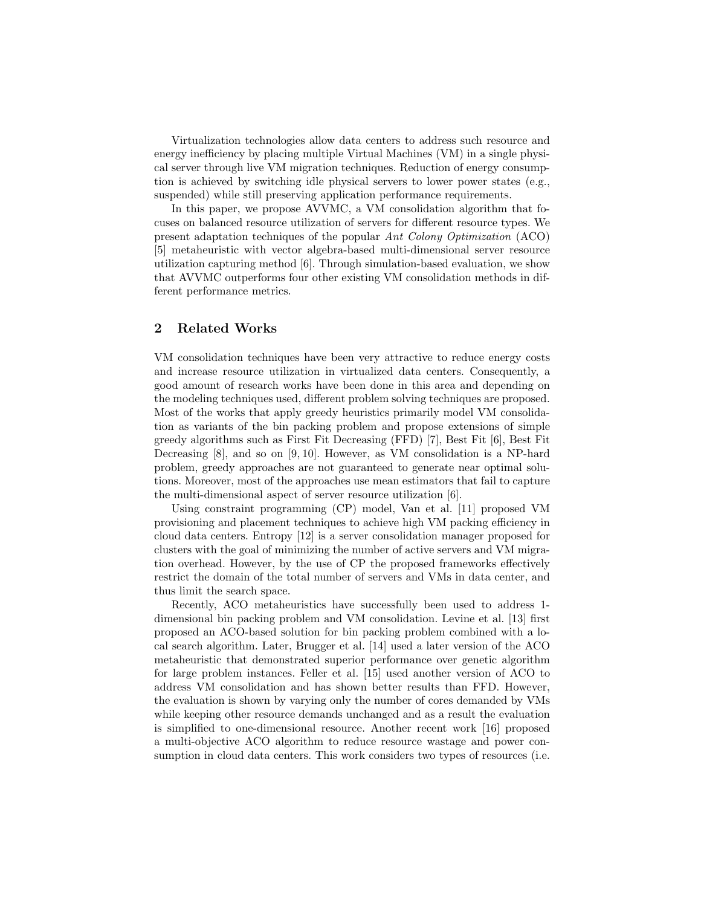Virtualization technologies allow data centers to address such resource and energy inefficiency by placing multiple Virtual Machines (VM) in a single physical server through live VM migration techniques. Reduction of energy consumption is achieved by switching idle physical servers to lower power states (e.g., suspended) while still preserving application performance requirements.

In this paper, we propose AVVMC, a VM consolidation algorithm that focuses on balanced resource utilization of servers for different resource types. We present adaptation techniques of the popular Ant Colony Optimization (ACO) [5] metaheuristic with vector algebra-based multi-dimensional server resource utilization capturing method [6]. Through simulation-based evaluation, we show that AVVMC outperforms four other existing VM consolidation methods in different performance metrics.

# 2 Related Works

VM consolidation techniques have been very attractive to reduce energy costs and increase resource utilization in virtualized data centers. Consequently, a good amount of research works have been done in this area and depending on the modeling techniques used, different problem solving techniques are proposed. Most of the works that apply greedy heuristics primarily model VM consolidation as variants of the bin packing problem and propose extensions of simple greedy algorithms such as First Fit Decreasing (FFD) [7], Best Fit [6], Best Fit Decreasing [8], and so on [9, 10]. However, as VM consolidation is a NP-hard problem, greedy approaches are not guaranteed to generate near optimal solutions. Moreover, most of the approaches use mean estimators that fail to capture the multi-dimensional aspect of server resource utilization [6].

Using constraint programming (CP) model, Van et al. [11] proposed VM provisioning and placement techniques to achieve high VM packing efficiency in cloud data centers. Entropy [12] is a server consolidation manager proposed for clusters with the goal of minimizing the number of active servers and VM migration overhead. However, by the use of CP the proposed frameworks effectively restrict the domain of the total number of servers and VMs in data center, and thus limit the search space.

Recently, ACO metaheuristics have successfully been used to address 1 dimensional bin packing problem and VM consolidation. Levine et al. [13] first proposed an ACO-based solution for bin packing problem combined with a local search algorithm. Later, Brugger et al. [14] used a later version of the ACO metaheuristic that demonstrated superior performance over genetic algorithm for large problem instances. Feller et al. [15] used another version of ACO to address VM consolidation and has shown better results than FFD. However, the evaluation is shown by varying only the number of cores demanded by VMs while keeping other resource demands unchanged and as a result the evaluation is simplified to one-dimensional resource. Another recent work [16] proposed a multi-objective ACO algorithm to reduce resource wastage and power consumption in cloud data centers. This work considers two types of resources (i.e.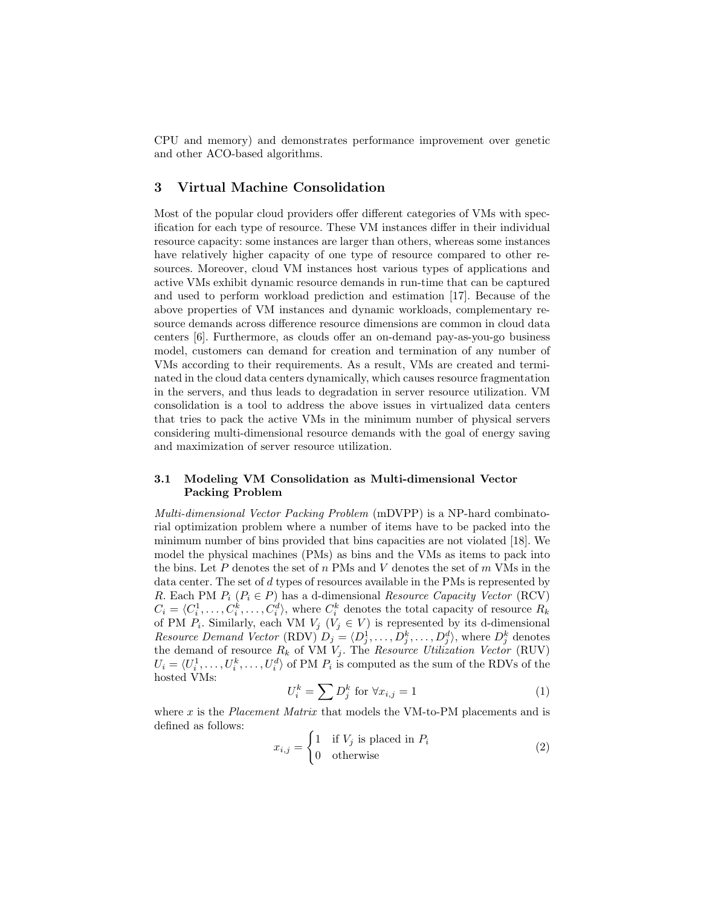CPU and memory) and demonstrates performance improvement over genetic and other ACO-based algorithms.

# 3 Virtual Machine Consolidation

Most of the popular cloud providers offer different categories of VMs with specification for each type of resource. These VM instances differ in their individual resource capacity: some instances are larger than others, whereas some instances have relatively higher capacity of one type of resource compared to other resources. Moreover, cloud VM instances host various types of applications and active VMs exhibit dynamic resource demands in run-time that can be captured and used to perform workload prediction and estimation [17]. Because of the above properties of VM instances and dynamic workloads, complementary resource demands across difference resource dimensions are common in cloud data centers [6]. Furthermore, as clouds offer an on-demand pay-as-you-go business model, customers can demand for creation and termination of any number of VMs according to their requirements. As a result, VMs are created and terminated in the cloud data centers dynamically, which causes resource fragmentation in the servers, and thus leads to degradation in server resource utilization. VM consolidation is a tool to address the above issues in virtualized data centers that tries to pack the active VMs in the minimum number of physical servers considering multi-dimensional resource demands with the goal of energy saving and maximization of server resource utilization.

## 3.1 Modeling VM Consolidation as Multi-dimensional Vector Packing Problem

Multi-dimensional Vector Packing Problem (mDVPP) is a NP-hard combinatorial optimization problem where a number of items have to be packed into the minimum number of bins provided that bins capacities are not violated [18]. We model the physical machines (PMs) as bins and the VMs as items to pack into the bins. Let  $P$  denotes the set of  $n$  PMs and  $V$  denotes the set of  $m$  VMs in the data center. The set of d types of resources available in the PMs is represented by R. Each PM  $P_i$  ( $P_i \in P$ ) has a d-dimensional Resource Capacity Vector (RCV)  $C_i = \langle C_i^1, \ldots, C_i^k, \ldots, C_i^d \rangle$ , where  $C_i^k$  denotes the total capacity of resource  $R_k$ of PM  $P_i$ . Similarly, each VM  $V_j$   $(V_j \in V)$  is represented by its d-dimensional Resource Demand Vector (RDV)  $D_j = \langle D_j^1, \ldots, D_j^k, \ldots, D_j^d \rangle$ , where  $D_j^k$  denotes the demand of resource  $R_k$  of VM  $V_j$ . The *Resource Utilization Vector* (RUV)  $U_i = \langle U_i^1, \ldots, U_i^k, \ldots, U_i^d \rangle$  of PM  $P_i$  is computed as the sum of the RDVs of the hosted VMs:

$$
U_i^k = \sum D_j^k \text{ for } \forall x_{i,j} = 1 \tag{1}
$$

where  $x$  is the *Placement Matrix* that models the VM-to-PM placements and is defined as follows:

$$
x_{i,j} = \begin{cases} 1 & \text{if } V_j \text{ is placed in } P_i \\ 0 & \text{otherwise} \end{cases}
$$
 (2)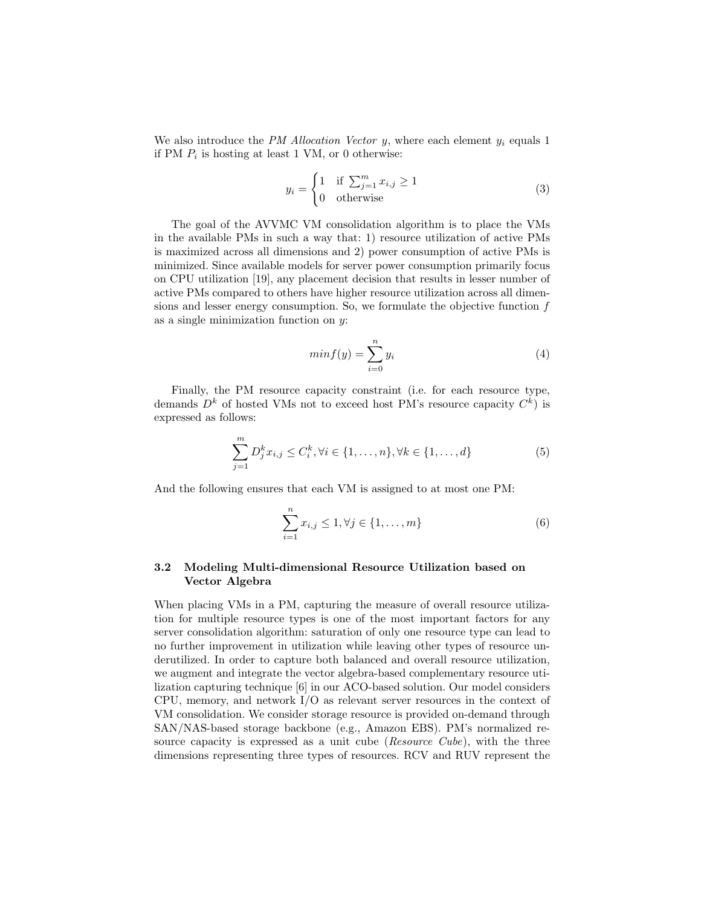We also introduce the PM Allocation Vector  $y$ , where each element  $y_i$  equals 1 if PM  $P_i$  is hosting at least 1 VM, or 0 otherwise:

$$
y_i = \begin{cases} 1 & \text{if } \sum_{j=1}^m x_{i,j} \ge 1 \\ 0 & \text{otherwise} \end{cases}
$$
 (3)

The goal of the AVVMC VM consolidation algorithm is to place the VMs in the available PMs in such a way that: 1) resource utilization of active PMs is maximized across all dimensions and 2) power consumption of active PMs is minimized. Since available models for server power consumption primarily focus on CPU utilization [19], any placement decision that results in lesser number of active PMs compared to others have higher resource utilization across all dimensions and lesser energy consumption. So, we formulate the objective function  $f$ as a single minimization function on y:

$$
min f(y) = \sum_{i=0}^{n} y_i
$$
\n(4)

Finally, the PM resource capacity constraint (i.e. for each resource type, demands  $D^k$  of hosted VMs not to exceed host PM's resource capacity  $C^k$ ) is expressed as follows:

$$
\sum_{j=1}^{m} D_j^k x_{i,j} \le C_i^k, \forall i \in \{1, ..., n\}, \forall k \in \{1, ..., d\}
$$
 (5)

And the following ensures that each VM is assigned to at most one PM:

$$
\sum_{i=1}^{n} x_{i,j} \le 1, \forall j \in \{1, \dots, m\}
$$
 (6)

### 3.2 Modeling Multi-dimensional Resource Utilization based on Vector Algebra

When placing VMs in a PM, capturing the measure of overall resource utilization for multiple resource types is one of the most important factors for any server consolidation algorithm: saturation of only one resource type can lead to no further improvement in utilization while leaving other types of resource underutilized. In order to capture both balanced and overall resource utilization, we augment and integrate the vector algebra-based complementary resource utilization capturing technique [6] in our ACO-based solution. Our model considers CPU, memory, and network I/O as relevant server resources in the context of VM consolidation. We consider storage resource is provided on-demand through SAN/NAS-based storage backbone (e.g., Amazon EBS). PM's normalized resource capacity is expressed as a unit cube (Resource Cube), with the three dimensions representing three types of resources. RCV and RUV represent the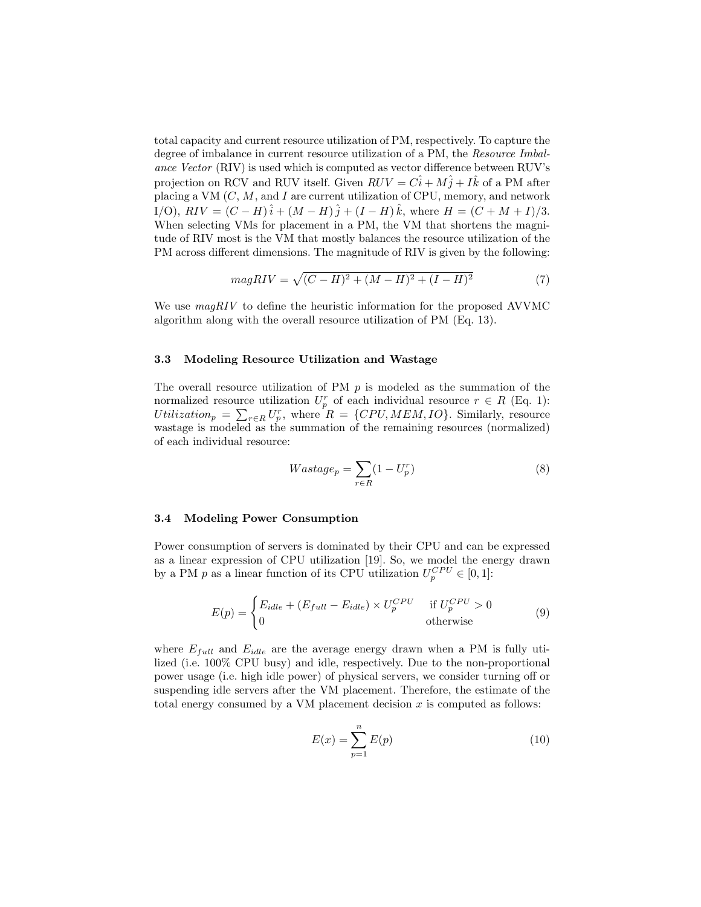total capacity and current resource utilization of PM, respectively. To capture the degree of imbalance in current resource utilization of a PM, the Resource Imbalance Vector (RIV) is used which is computed as vector difference between RUV's projection on RCV and RUV itself. Given  $RUV = C\hat{i} + M\hat{j} + I\hat{k}$  of a PM after placing a VM  $(C, M, \text{and } I$  are current utilization of CPU, memory, and network I/O),  $RIV = (C - H)\hat{i} + (M - H)\hat{j} + (I - H)\hat{k}$ , where  $H = (C + M + I)/3$ . When selecting VMs for placement in a PM, the VM that shortens the magnitude of RIV most is the VM that mostly balances the resource utilization of the PM across different dimensions. The magnitude of RIV is given by the following:

$$
magRIV = \sqrt{(C-H)^2 + (M-H)^2 + (I-H)^2}
$$
\n(7)

We use  $magRIV$  to define the heuristic information for the proposed AVVMC algorithm along with the overall resource utilization of PM (Eq. 13).

#### 3.3 Modeling Resource Utilization and Wastage

The overall resource utilization of PM  $p$  is modeled as the summation of the normalized resource utilization  $U_p^r$  of each individual resource  $r \in R$  (Eq. 1): Utilization<sub>p</sub> =  $\sum_{r \in R} U_p^r$ , where  $R = \{CPU, MEM, IO\}$ . Similarly, resource wastage is modeled as the summation of the remaining resources (normalized) of each individual resource:

$$
Wastage_p = \sum_{r \in R} (1 - U_p^r)
$$
\n<sup>(8)</sup>

#### 3.4 Modeling Power Consumption

Power consumption of servers is dominated by their CPU and can be expressed as a linear expression of CPU utilization [19]. So, we model the energy drawn by a PM p as a linear function of its CPU utilization  $U_p^{CPU} \in [0, 1]$ :

$$
E(p) = \begin{cases} E_{idle} + (E_{full} - E_{idle}) \times U_p^{CPU} & \text{if } U_p^{CPU} > 0\\ 0 & \text{otherwise} \end{cases}
$$
(9)

where  $E_{full}$  and  $E_{idle}$  are the average energy drawn when a PM is fully utilized (i.e. 100% CPU busy) and idle, respectively. Due to the non-proportional power usage (i.e. high idle power) of physical servers, we consider turning off or suspending idle servers after the VM placement. Therefore, the estimate of the total energy consumed by a  $VM$  placement decision  $x$  is computed as follows:

$$
E(x) = \sum_{p=1}^{n} E(p)
$$
\n(10)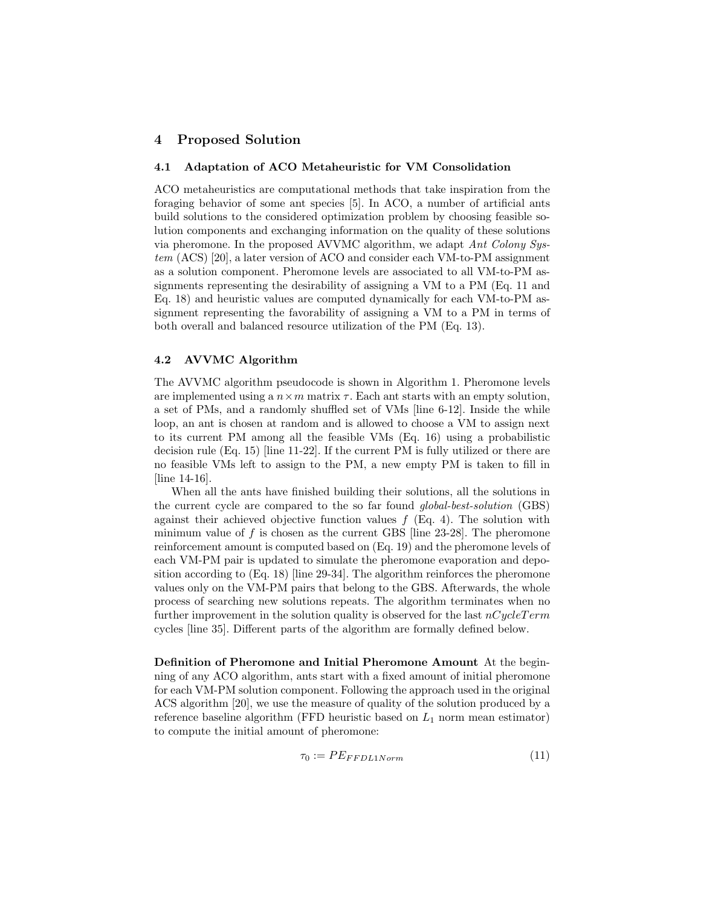## 4 Proposed Solution

#### 4.1 Adaptation of ACO Metaheuristic for VM Consolidation

ACO metaheuristics are computational methods that take inspiration from the foraging behavior of some ant species [5]. In ACO, a number of artificial ants build solutions to the considered optimization problem by choosing feasible solution components and exchanging information on the quality of these solutions via pheromone. In the proposed AVVMC algorithm, we adapt Ant Colony System (ACS) [20], a later version of ACO and consider each VM-to-PM assignment as a solution component. Pheromone levels are associated to all VM-to-PM assignments representing the desirability of assigning a VM to a PM (Eq. 11 and Eq. 18) and heuristic values are computed dynamically for each VM-to-PM assignment representing the favorability of assigning a VM to a PM in terms of both overall and balanced resource utilization of the PM (Eq. 13).

#### 4.2 AVVMC Algorithm

The AVVMC algorithm pseudocode is shown in Algorithm 1. Pheromone levels are implemented using a  $n \times m$  matrix  $\tau$ . Each ant starts with an empty solution, a set of PMs, and a randomly shuffled set of VMs [line 6-12]. Inside the while loop, an ant is chosen at random and is allowed to choose a VM to assign next to its current PM among all the feasible VMs (Eq. 16) using a probabilistic decision rule (Eq. 15) [line 11-22]. If the current PM is fully utilized or there are no feasible VMs left to assign to the PM, a new empty PM is taken to fill in [line 14-16].

When all the ants have finished building their solutions, all the solutions in the current cycle are compared to the so far found global-best-solution (GBS) against their achieved objective function values  $f$  (Eq. 4). The solution with minimum value of  $f$  is chosen as the current GBS [line 23-28]. The pheromone reinforcement amount is computed based on (Eq. 19) and the pheromone levels of each VM-PM pair is updated to simulate the pheromone evaporation and deposition according to (Eq. 18) [line 29-34]. The algorithm reinforces the pheromone values only on the VM-PM pairs that belong to the GBS. Afterwards, the whole process of searching new solutions repeats. The algorithm terminates when no further improvement in the solution quality is observed for the last  $nCycleTerm$ cycles [line 35]. Different parts of the algorithm are formally defined below.

Definition of Pheromone and Initial Pheromone Amount At the beginning of any ACO algorithm, ants start with a fixed amount of initial pheromone for each VM-PM solution component. Following the approach used in the original ACS algorithm [20], we use the measure of quality of the solution produced by a reference baseline algorithm (FFD heuristic based on  $L_1$  norm mean estimator) to compute the initial amount of pheromone:

$$
\tau_0 := PE_{FFDL1Norm} \tag{11}
$$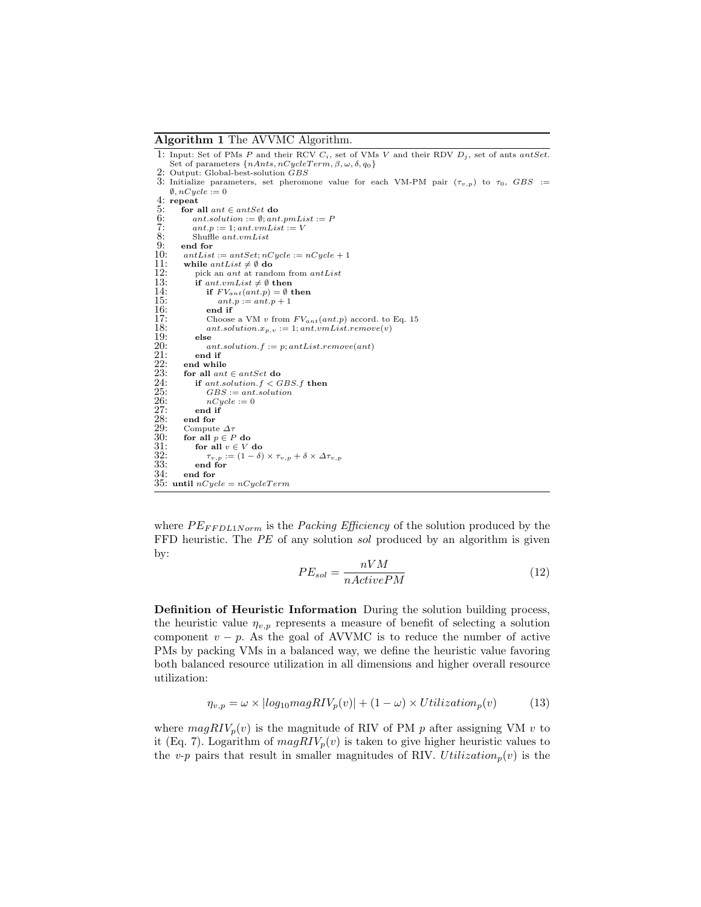#### Algorithm 1 The AVVMC Algorithm.

```
1: Input: Set of PMs \overline{P} and their RCV C_i, set of VMs V and their RDV D_j, set of ants antSet.
      Set of parameters \{nAnts, nCycleTerm, \beta, \omega, \delta, q_0\}2: Output: Global-best-solution GBS<br>3: Initialize parameters, set pherome
     Initialize parameters, set pheromone value for each VM-PM pair (\tau_{v,p}) to \tau_0, GBS :=
      \emptyset, nCycle := 0
 rac{4}{5}: repeat
5: for all ant \in antSet do<br>6: ant solution := \emptyset; ant<br>7: ant.p := 1; ant.vmlis<br>8: Shuffle ant.vmlist\mathit{ant.solution} := \emptyset; \mathit{ant.pmList} := Pant.p := 1; ant.vmList := V8: Shuffle ant.vmList<br>9: end for
9: end for<br>10: antList10: antList := antSet; nCycle := nCycle + 1<br>11: while antList \neq \emptyset do
11: while antList \neq \emptyset do<br>12: pick an ant at rand<br>13: if ant.vmList \neq \emptyset 1
                pick an ant at random from antList
13: if ant.vmList \neq \emptyset then<br>14: if FV_{ant}(ant.p) = \emptyset t
14: if FVar(ant.p) = \emptyset then<br>
15: ant.p := ant.p + 1<br>
16: end if
                         ant.p := ant.p + 116: end if<br>
17: Choose<br>
18: ant.sol<br>
19: else
                     Choose a VM v from FV_{ant}(ant.p) accord. to Eq. 15
                     ant.solution.x_{p,v} := 1; ant.vmList.remove(v)\begin{array}{ccc} 19: &\quad\text{else}\ 20: &\quad a\ 21: &\quad\text{end} \end{array}ant.solution.f := p; antList.remove(ant)21: end if<br>
22: end while<br>
23: for all ax<br>
24: if ant.<br>
25: GB,<br>
26: nC_3<br>
27: end if<br>
29: Compute
            end while
            for all ant \in antSet do
                if \emph{ant.solution}.f < GBS.f then
                     GBS \mathrel{\mathop:}= ant.solutionnCycle := 0end if
            end for
29: Compute \Delta \tau<br>30: for all p \in F30: for all p \in P do 31: for all v \in V31: for all v \in V do<br>32: \tau_{v,n} := (1 - \delta)32: \tau_{v,p} := (1 - \delta) \times \tau_{v,p} + \delta \times \Delta \tau_{v,p}<br>33: end for
33: end for
            end for
35: until nCycle = nCycleTerm
```
where  $PE_{FFDL1Norm}$  is the Packing Efficiency of the solution produced by the FFD heuristic. The PE of any solution sol produced by an algorithm is given by:

$$
PE_{sol} = \frac{nVM}{nActivePM} \tag{12}
$$

Definition of Heuristic Information During the solution building process, the heuristic value  $\eta_{v,p}$  represents a measure of benefit of selecting a solution component  $v - p$ . As the goal of AVVMC is to reduce the number of active PMs by packing VMs in a balanced way, we define the heuristic value favoring both balanced resource utilization in all dimensions and higher overall resource utilization:

$$
\eta_{v,p} = \omega \times |log_{10}mag RIV_p(v)| + (1 - \omega) \times Utilization_p(v) \tag{13}
$$

where  $magRIV_p(v)$  is the magnitude of RIV of PM p after assigning VM v to it (Eq. 7). Logarithm of  $magRIV_p(v)$  is taken to give higher heuristic values to the v-p pairs that result in smaller magnitudes of RIV. Utilization<sub>p</sub> $(v)$  is the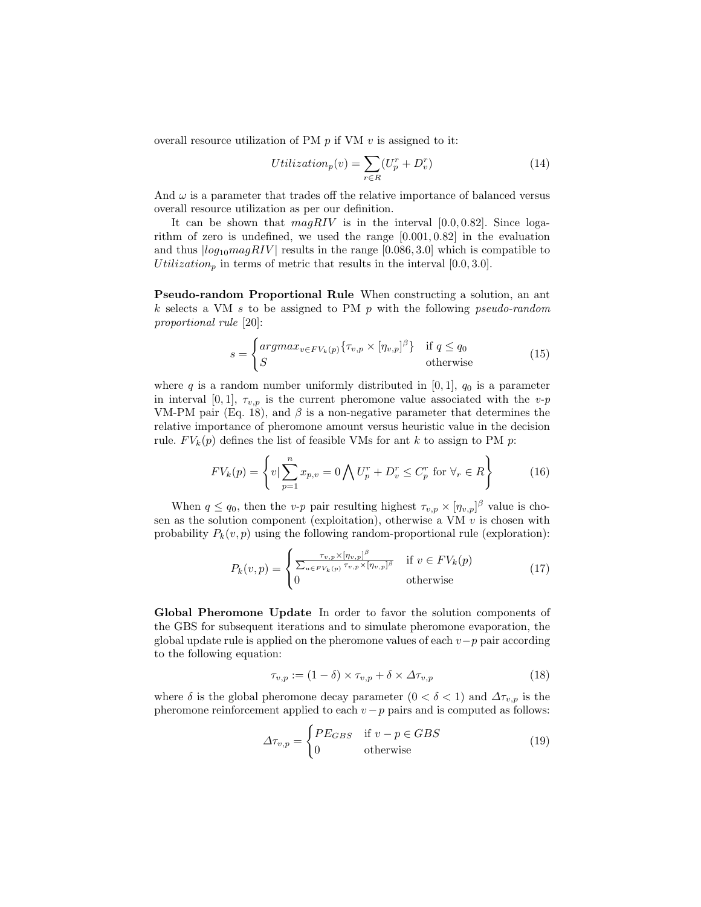overall resource utilization of PM  $p$  if VM  $v$  is assigned to it:

$$
Utilization_p(v) = \sum_{r \in R} (U_p^r + D_v^r)
$$
\n(14)

And  $\omega$  is a parameter that trades off the relative importance of balanced versus overall resource utilization as per our definition.

It can be shown that  $magRIV$  is in the interval  $[0.0, 0.82]$ . Since logarithm of zero is undefined, we used the range [0.001, 0.82] in the evaluation and thus  $\log_{10}magRIV$  results in the range [0.086, 3.0] which is compatible to Utilization<sub>p</sub> in terms of metric that results in the interval  $[0.0, 3.0]$ .

Pseudo-random Proportional Rule When constructing a solution, an ant  $k$  selects a VM  $s$  to be assigned to PM  $p$  with the following *pseudo-random* proportional rule [20]:

$$
s = \begin{cases} argmax_{v \in FV_k(p)} \{ \tau_{v,p} \times [\eta_{v,p}]^{\beta} \} & \text{if } q \le q_0 \\ S & \text{otherwise} \end{cases}
$$
(15)

where q is a random number uniformly distributed in [0, 1],  $q_0$  is a parameter in interval [0, 1],  $\tau_{v,p}$  is the current pheromone value associated with the v-p VM-PM pair (Eq. 18), and  $\beta$  is a non-negative parameter that determines the relative importance of pheromone amount versus heuristic value in the decision rule.  $F V_k(p)$  defines the list of feasible VMs for ant k to assign to PM p:

$$
FV_k(p) = \left\{ v \mid \sum_{p=1}^n x_{p,v} = 0 \bigwedge U_p^r + D_v^r \le C_p^r \text{ for } \forall r \in R \right\}
$$
 (16)

When  $q \leq q_0$ , then the v-p pair resulting highest  $\tau_{v,p} \times [\eta_{v,p}]^{\beta}$  value is chosen as the solution component (exploitation), otherwise a VM  $v$  is chosen with probability  $P_k(v, p)$  using the following random-proportional rule (exploration):

$$
P_k(v,p) = \begin{cases} \frac{\tau_{v,p} \times [\eta_{v,p}]^{\beta}}{\sum_{u \in FV_k(p)} \tau_{v,p} \times [\eta_{v,p}]^{\beta}} & \text{if } v \in FV_k(p) \\ 0 & \text{otherwise} \end{cases}
$$
(17)

Global Pheromone Update In order to favor the solution components of the GBS for subsequent iterations and to simulate pheromone evaporation, the global update rule is applied on the pheromone values of each  $v-p$  pair according to the following equation:

$$
\tau_{v,p} := (1 - \delta) \times \tau_{v,p} + \delta \times \Delta \tau_{v,p} \tag{18}
$$

where  $\delta$  is the global pheromone decay parameter  $(0 < \delta < 1)$  and  $\Delta \tau_{v,p}$  is the pheromone reinforcement applied to each  $v - p$  pairs and is computed as follows:

$$
\Delta \tau_{v,p} = \begin{cases} PE_{GBS} & \text{if } v - p \in GBS\\ 0 & \text{otherwise} \end{cases}
$$
 (19)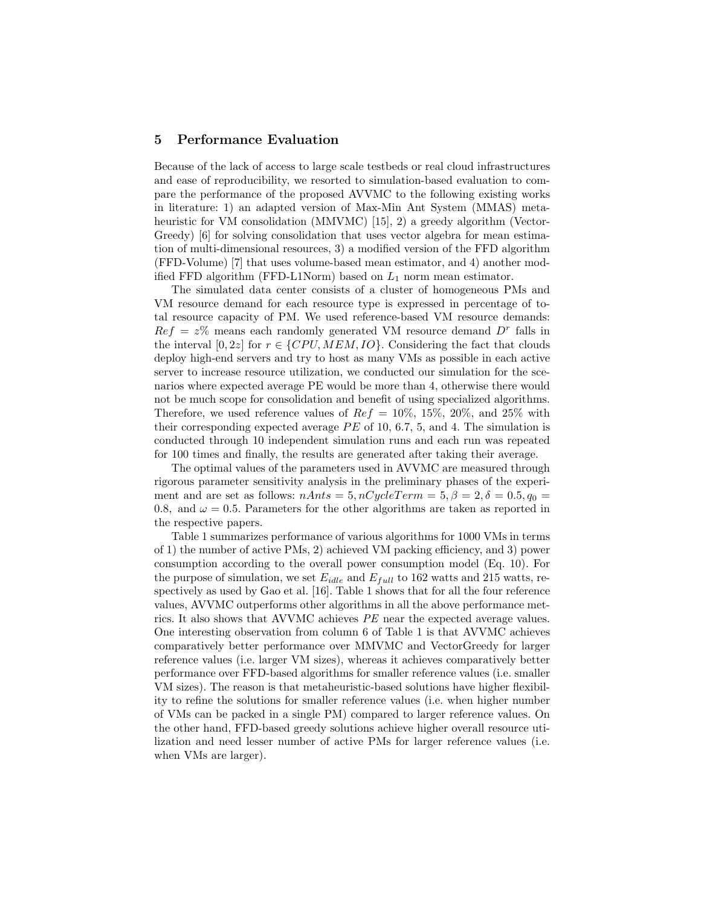### 5 Performance Evaluation

Because of the lack of access to large scale testbeds or real cloud infrastructures and ease of reproducibility, we resorted to simulation-based evaluation to compare the performance of the proposed AVVMC to the following existing works in literature: 1) an adapted version of Max-Min Ant System (MMAS) metaheuristic for VM consolidation (MMVMC) [15], 2) a greedy algorithm (Vector-Greedy) [6] for solving consolidation that uses vector algebra for mean estimation of multi-dimensional resources, 3) a modified version of the FFD algorithm (FFD-Volume) [7] that uses volume-based mean estimator, and 4) another modified FFD algorithm (FFD-L1Norm) based on  $L_1$  norm mean estimator.

The simulated data center consists of a cluster of homogeneous PMs and VM resource demand for each resource type is expressed in percentage of total resource capacity of PM. We used reference-based VM resource demands:  $Ref = z\%$  means each randomly generated VM resource demand  $D<sup>r</sup>$  falls in the interval [0, 2z] for  $r \in \{CPU, MEM, IO\}$ . Considering the fact that clouds deploy high-end servers and try to host as many VMs as possible in each active server to increase resource utilization, we conducted our simulation for the scenarios where expected average PE would be more than 4, otherwise there would not be much scope for consolidation and benefit of using specialized algorithms. Therefore, we used reference values of  $Ref = 10\%, 15\%, 20\%, \text{ and } 25\%$  with their corresponding expected average  $PE$  of 10, 6.7, 5, and 4. The simulation is conducted through 10 independent simulation runs and each run was repeated for 100 times and finally, the results are generated after taking their average.

The optimal values of the parameters used in AVVMC are measured through rigorous parameter sensitivity analysis in the preliminary phases of the experiment and are set as follows:  $nAnts = 5$ ,  $nCycleTerm = 5, \beta = 2, \delta = 0.5, q_0 = 0$ 0.8, and  $\omega = 0.5$ . Parameters for the other algorithms are taken as reported in the respective papers.

Table 1 summarizes performance of various algorithms for 1000 VMs in terms of 1) the number of active PMs, 2) achieved VM packing efficiency, and 3) power consumption according to the overall power consumption model (Eq. 10). For the purpose of simulation, we set  $E_{idle}$  and  $E_{full}$  to 162 watts and 215 watts, respectively as used by Gao et al. [16]. Table 1 shows that for all the four reference values, AVVMC outperforms other algorithms in all the above performance metrics. It also shows that AVVMC achieves PE near the expected average values. One interesting observation from column 6 of Table 1 is that AVVMC achieves comparatively better performance over MMVMC and VectorGreedy for larger reference values (i.e. larger VM sizes), whereas it achieves comparatively better performance over FFD-based algorithms for smaller reference values (i.e. smaller VM sizes). The reason is that metaheuristic-based solutions have higher flexibility to refine the solutions for smaller reference values (i.e. when higher number of VMs can be packed in a single PM) compared to larger reference values. On the other hand, FFD-based greedy solutions achieve higher overall resource utilization and need lesser number of active PMs for larger reference values (i.e. when VMs are larger).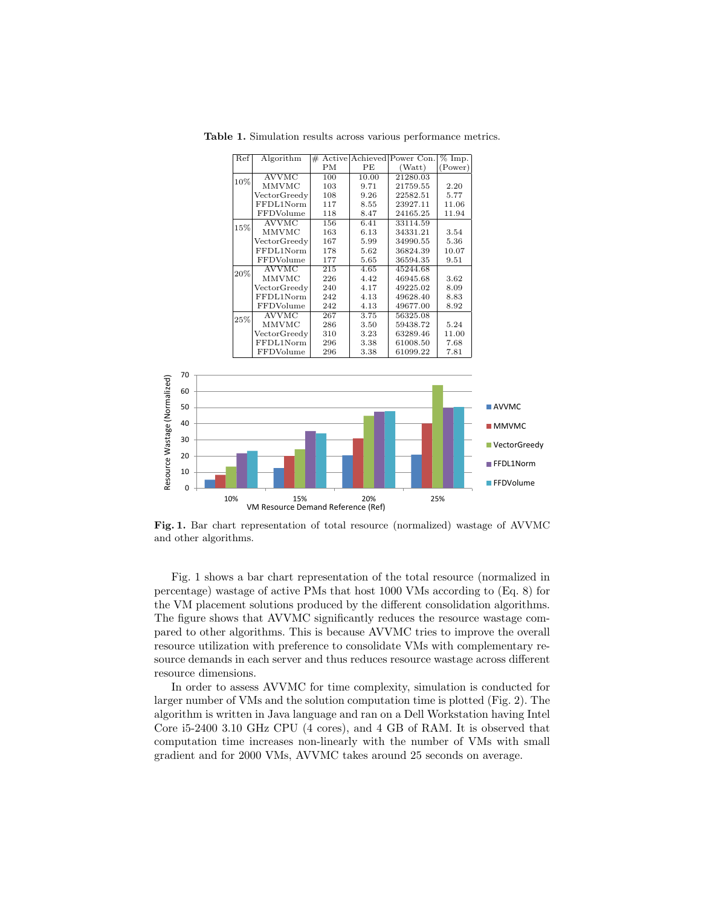| $\overline{\text{Ref}}$ | Algorithm          | #   |       | Active Achieved Power Con. | $\%$ Imp. |
|-------------------------|--------------------|-----|-------|----------------------------|-----------|
|                         |                    | PМ  | PЕ    | $(W_{att})$                | (Power)   |
| 10%                     | <b>AVVMC</b>       | 100 | 10.00 | 21280.03                   |           |
|                         | MMVMC              | 103 | 9.71  | 21759.55                   | 2.20      |
|                         | $\rm VectorGreedy$ | 108 | 9.26  | 22582.51                   | 5.77      |
|                         | FFDL1Norm          | 117 | 8.55  | 23927.11                   | 11.06     |
|                         | FFDVolume          | 118 | 8.47  | 24165.25                   | 11.94     |
| 15%                     | <b>AVVMC</b>       | 156 | 6.41  | 33114.59                   |           |
|                         | MMVMC              | 163 | 6.13  | 34331.21                   | 3.54      |
|                         | $\rm VectorGreedy$ | 167 | 5.99  | 34990.55                   | 5.36      |
|                         | FFDL1Norm          | 178 | 5.62  | 36824.39                   | 10.07     |
|                         | FFDVolume          | 177 | 5.65  | 36594.35                   | 9.51      |
| 20%                     | <b>AVVMC</b>       | 215 | 4.65  | 45244.68                   |           |
|                         | MMVMC              | 226 | 4.42  | 46945.68                   | 3.62      |
|                         | VectorGreedy       | 240 | 4.17  | 49225.02                   | 8.09      |
|                         | FFDL1Norm          | 242 | 4.13  | 49628.40                   | 8.83      |
|                         | FFDVolume          | 242 | 4.13  | 49677.00                   | 8.92      |
| 25%                     | <b>AVVMC</b>       | 267 | 3.75  | 56325.08                   |           |
|                         | MMVMC              | 286 | 3.50  | 59438.72                   | 5.24      |
|                         | $\rm VectorGreedy$ | 310 | 3.23  | 63289.46                   | 11.00     |
|                         | FFDL1Norm          | 296 | 3.38  | 61008.50                   | 7.68      |
|                         | FFDVolume          | 296 | 3.38  | 61099.22                   | 7.81      |

Table 1. Simulation results across various performance metrics.



Fig. 1. Bar chart representation of total resource (normalized) wastage of AVVMC and other algorithms.

Fig. 1 shows a bar chart representation of the total resource (normalized in percentage) wastage of active PMs that host 1000 VMs according to (Eq. 8) for the VM placement solutions produced by the different consolidation algorithms. The figure shows that AVVMC significantly reduces the resource wastage compared to other algorithms. This is because AVVMC tries to improve the overall resource utilization with preference to consolidate VMs with complementary resource demands in each server and thus reduces resource wastage across different resource dimensions.

In order to assess AVVMC for time complexity, simulation is conducted for larger number of VMs and the solution computation time is plotted (Fig. 2). The algorithm is written in Java language and ran on a Dell Workstation having Intel Core i5-2400 3.10 GHz CPU (4 cores), and 4 GB of RAM. It is observed that computation time increases non-linearly with the number of VMs with small gradient and for 2000 VMs, AVVMC takes around 25 seconds on average.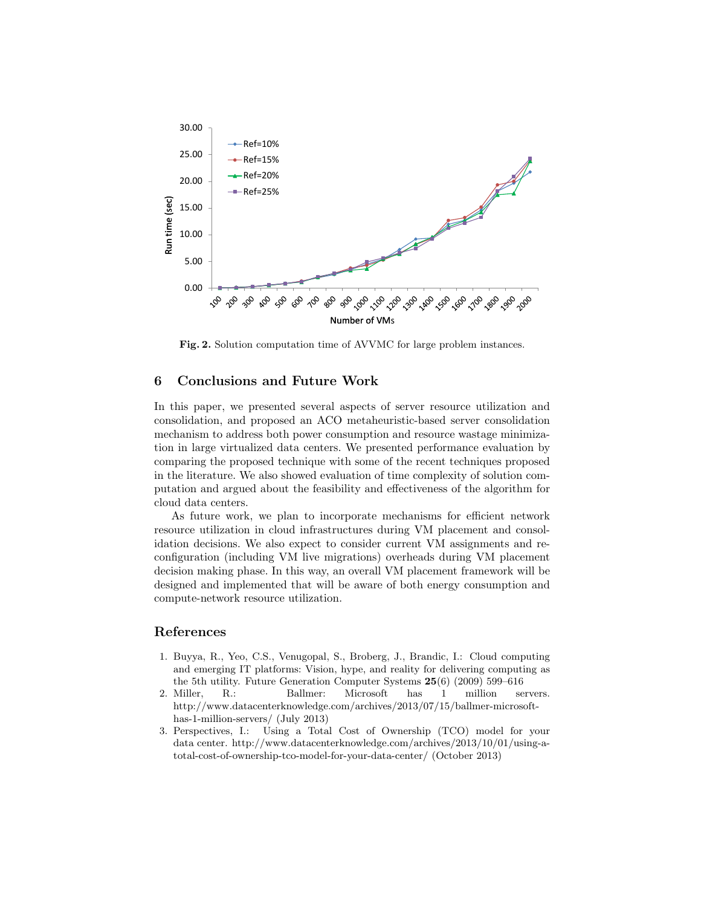

Fig. 2. Solution computation time of AVVMC for large problem instances.

## 6 Conclusions and Future Work

In this paper, we presented several aspects of server resource utilization and consolidation, and proposed an ACO metaheuristic-based server consolidation mechanism to address both power consumption and resource wastage minimization in large virtualized data centers. We presented performance evaluation by comparing the proposed technique with some of the recent techniques proposed in the literature. We also showed evaluation of time complexity of solution computation and argued about the feasibility and effectiveness of the algorithm for cloud data centers.

As future work, we plan to incorporate mechanisms for efficient network resource utilization in cloud infrastructures during VM placement and consolidation decisions. We also expect to consider current VM assignments and reconfiguration (including VM live migrations) overheads during VM placement decision making phase. In this way, an overall VM placement framework will be designed and implemented that will be aware of both energy consumption and compute-network resource utilization.

## References

- 1. Buyya, R., Yeo, C.S., Venugopal, S., Broberg, J., Brandic, I.: Cloud computing and emerging IT platforms: Vision, hype, and reality for delivering computing as the 5th utility. Future Generation Computer Systems  $25(6)$  (2009) 599–616<br>Miller, R.: Ballmer: Microsoft has 1 million se
- 2. Miller, R.: Ballmer: Microsoft has 1 million servers. http://www.datacenterknowledge.com/archives/2013/07/15/ballmer-microsofthas-1-million-servers/ (July 2013)
- 3. Perspectives, I.: Using a Total Cost of Ownership (TCO) model for your data center. http://www.datacenterknowledge.com/archives/2013/10/01/using-atotal-cost-of-ownership-tco-model-for-your-data-center/ (October 2013)